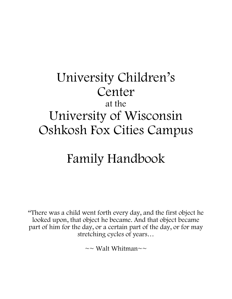## University Children's Center at the University of Wisconsin Oshkosh Fox Cities Campus

# Family Handbook

"There was a child went forth every day, and the first object he looked upon, that object he became. And that object became part of him for the day, or a certain part of the day, or for may stretching cycles of years…

 $\sim$  Walt Whitman $\sim$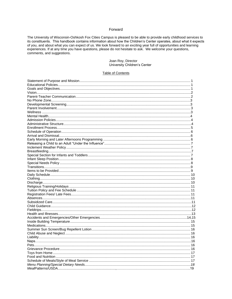#### Forward

The University of Wisconsin-Oshkosh Fox Cities Campus is pleased to be able to provide early childhood services to its constituents. This handbook contains information about how the Children's Center operates, about what it expects of you, and about what you can expect of us. We look forward to an exciting year full of opportunities and learning experiences. If at any time you have questions, please do not hesitate to ask. We welcome your questions, comments, and suggestions.

#### Joan Roy, Director University Children's Center

#### Table of Contents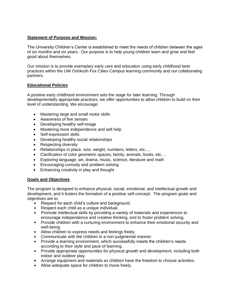## **Statement of Purpose and Mission:**

The University Children's Center is established to meet the needs of children between the ages of six months and six years. Our purpose is to help young children learn and grow and feel good about themselves.

Our mission is to provide exemplary early care and education using early childhood best practices within the UW Oshkosh Fox Cities Campus learning community and our collaborating partners.

## **Educational Policies**

A positive early childhood environment sets the stage for later learning. Through developmentally appropriate practices, we offer opportunities to allow children to build on their level of understanding. We encourage:

- Mastering large and small motor skills
- Awareness of five senses
- Developing healthy self-image
- Mastering more independence and self help
- Self-expression skills
- Developing healthy social relationships
- Respecting diversity
- Relationships in place, size, weight, numbers, letters, etc.…
- Clarification of color geometric spaces, family, animals, foods, etc.…
- Exploring language, art, drama, music, science, literature and math
- Encouraging curiosity and problem solving
- Enhancing creativity in play and thought

## **Goals and Objectives**

The program is designed to enhance physical, social, emotional, and intellectual growth and development, and it fosters the formation of a positive self-concept. The program goals and objectives are to:

- Respect for each child's culture and background.
- Respect each child as a unique individual.
- Promote intellectual skills by providing a variety of materials and experiences to encourage independence and creative thinking, and to foster problem solving.
- **Provide children with a nurturing environment to enhance their emotional security and** well-being.
- Allow children to express needs and feelings freely.
- **Communicate with the children in a non-judgmental manner.**
- Provide a learning environment, which successfully meets the children's needs according to their style and pace of learning.
- Provide appropriate opportunities for physical growth and development, including both indoor and outdoor play.
- Arrange equipment and materials so children have the freedom to choose activities.
- Allow adequate space for children to move freely.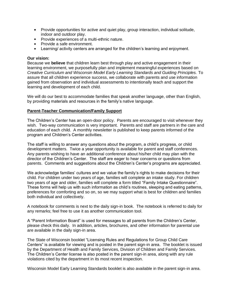- Provide opportunities for active and quiet play, group interaction, individual solitude, indoor and outdoor play.
- **Provide experiences of a multi-ethnic nature.**
- **Provide a safe environment.**
- **Learning/ activity centers are arranged for the children's learning and enjoyment.**

#### **Our vision:**

Because we **believe** that children learn best through play and active engagement in their learning environment, we purposefully plan and implement meaningful experiences based on *Creative Curriculum and Wisconsin Model Early Learning Standards and Guiding Principles.* To assure that all children experience success, we collaborate with parents and use information gained from observation and individual assessments to intentionally teach and support the learning and development of each child.

We will do our best to accommodate families that speak another language, other than English, by providing materials and resources in the family's native language.

#### **Parent-Teacher Communication/Family Support**

The Children's Center has an open-door policy. Parents are encouraged to visit whenever they wish. Two-way communication is very important. Parents and staff are partners in the care and education of each child. A monthly newsletter is published to keep parents informed of the program and Children's Center activities.

The staff is willing to answer any questions about the program, a child's progress, or child development matters. Twice a year opportunity is available for parent and staff conferences. Any parents wishing to have an additional conference about his/her child may plan with the director of the Children's Center. The staff are eager to hear concerns or questions from parents. Comments and suggestions about the Children's Center's programs are appreciated.

We acknowledge families' cultures and we value the family's rights to make decisions for their child. For children under two years of age, families will complete an intake study. For children two years of age and older, families will complete a form titled "Family Intake Questionnaire". These forms will help us with such information as child's routines, sleeping and eating patterns, preferences for comforting and so on, so we may support what is best for children and families both individual and collectively.

A notebook for comments is next to the daily sign-in book. The notebook is referred to daily for any remarks; feel free to use it as another communication tool.

A "Parent Information Board" is used for messages to all parents from the Children's Center, please check this daily. In addition, articles, brochures, and other information for parental use are available in the daily sign-in area.

The State of Wisconsin booklet "Licensing Rules and Regulations for Group Child Care Centers" is available for viewing and is posted in the parent sign-in area. The booklet is issued by the Department of Health and Family Services, Division of Children and Family Services. The Children's Center license is also posted in the parent sign-in area, along with any rule violations cited by the department in its most recent inspection.

Wisconsin Model Early Learning Standards booklet is also available in the parent sign-in area.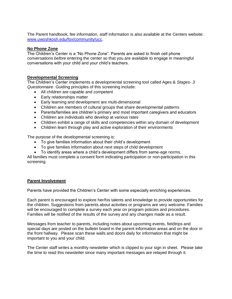The Parent handbook, fee information, staff information is also available at the Centers website: [www.uwoshkosh.edu/fox/community/ucc.](http://www.uwoshkosh.edu/fox/community/ucc)

## **No Phone Zone**

The Children's Center is a "No Phone Zone". Parents are asked to finish cell phone conversations *before* entering the center so that you are available to engage in meaningful conversations with your child and your child's teachers.

## **Developmental Screening**

The Children's Center implements a developmental screening tool called Ages & *Stages- 3 Questionnaire*. Guiding principles of this screening include:

- All children are capable and competent
- Early relationships matter
- Early learning and development are multi-dimensional
- Children are members of cultural groups that share developmental patterns
- Parents/families are children's primary and most important caregivers and educators
- Children are individuals who develop at various rates
- Children exhibit a range of skills and competencies within any domain of development
- Children learn through play and active exploration of their environments

The purpose of the developmental screening is:

- To give families information about their child's development
- To give families information about next steps of child development
- To identify areas where a child's development differs from same-age norms.

All families must complete a consent form indicating participation or non-participation in this screening.

#### **Parent Involvement**

Parents have provided the Children's Center with some especially enriching experiences.

Each parent is encouraged to explore her/his talents and knowledge to provide opportunities for the children. Suggestions from parents about activities or programs are very welcome. Families will be encouraged to complete a survey each year on program policies and procedures. Families will be notified of the results of the survey and any changes made as a result.

Messages from teacher to parents, including notes about upcoming events, fieldtrips and special days are posted on the bulletin board in the parent information areas and on the door in the front hallway. Please scan these walls and doors daily for information that might be important to you and your child.

The Center staff writes a monthly newsletter which is clipped to your sign in sheet. Please take the time to read this newsletter since many important messages are relayed through it.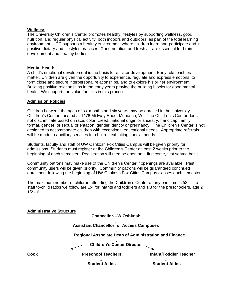#### **Wellness**

The University Children's Center promotes healthy lifestyles by supporting wellness, good nutrition, and regular physical activity, both indoors and outdoors, as part of the total learning environment. UCC supports a healthy environment where children learn and participate and in positive dietary and lifestyles practices. Good nutrition and fresh air are essential for brain development and healthy bodies.

#### **Mental Health**

A child's emotional development is the basis for all later development. Early relationships matter. Children are given the opportunity to experience, regulate and express emotions, to form close and secure interpersonal relationships, and to explore his or her environment. Building positive relationships in the early years provide the building blocks for good mental health. We support and value families in this process.

#### **Admission Policies**

Children between the ages of six months and six years may be enrolled in the University Children's Center, located at 1478 Midway Road, Menasha, WI. The Children's Center does not discriminate based on race, color, creed, national origin or ancestry, handicap, family format, gender, or sexual orientation, gender identity or pregnancy. The Children's Center is not designed to accommodate children with exceptional educational needs. Appropriate referrals will be made to ancillary services for children exhibiting special needs.

Students, faculty and staff of UW Oshkosh Fox Cities Campus will be given priority for admissions. Students must register at the Children's Center at least 2 weeks prior to the beginning of each semester. Registration will then be open on a first come, first served basis.

Community patrons may make use of the Children's Center if openings are available. Past community users will be given priority. Community patrons will be guaranteed continued enrollment following the beginning of UW Oshkosh Fox Cities Campus classes each semester.

The maximum number of children attending the Children's Center at any one time is 52. The staff to-child ratios we follow are 1:4 for infants and toddlers and 1:8 for the preschoolers, age 2  $1/2 - 6$ .

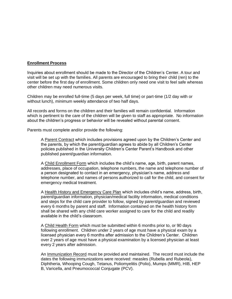#### **Enrollment Process**

Inquiries about enrollment should be made to the Director of the Children's Center. A tour and visit will be set up with the families. All parents are encouraged to bring their child (ren) to the center before the first day of enrollment. Some children only need one visit to feel safe whereas other children may need numerous visits.

Children may be enrolled full-time (5 days per week, full time) or part-time (1/2 day with or without lunch), minimum weekly attendance of two half days.

All records and forms on the children and their families will remain confidential. Information which is pertinent to the care of the children will be given to staff as appropriate. No information about the children's progress or behavior will be revealed without parental consent.

Parents must complete and/or provide the following:

A Parent Contract which includes provisions agreed upon by the Children's Center and the parents, by which the parent/guardian agrees to abide by all Children's Center policies published in the University Children's Center Parent's Handbook and other published parent/guardian information.

A Child Enrollment Form which includes the child's name, age, birth, parent names, addresses, place of occupation, telephone numbers, the name and telephone number of a person designated to contact in an emergency, physician's name, address and telephone number, and names of persons authorized to call for the child, and consent for emergency medical treatment.

A Health History and Emergency Care Plan which includes child's name, address, birth, parent/guardian information, physician/medical facility information, medical conditions and steps for the child care provider to follow, signed by parent/guardian and reviewed every 6 months by parent and staff. Information contained on the health history form shall be shared with any child care worker assigned to care for the child and readily available in the child's classroom.

A Child Health Form which must be submitted within 6 months prior to, or 90 days following enrollment. Children under 2 years of age must have a physical exam by a licensed physician every 6 months after admission to the Children's Center. Children over 2 years of age must have a physical examination by a licensed physician at least every 2 years after admission.

An Immunization Record must be provided and maintained. The record must include the dates the following immunizations were received: measles (Rubella and Rubeola), Diphtheria, Whooping Cough, Tetanus, Poliomyelitis (Polio), Mumps (MMR), HIB, HEP B, Varicella, and Pneumococcal Conjugate (PCV).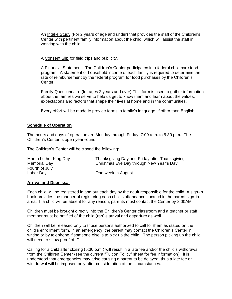An Intake Study (For 2 years of age and under) that provides the staff of the Children's Center with pertinent family information about the child, which will assist the staff in working with the child.

A Consent Slip for field trips and publicity.

A Financial Statement. The Children's Center participates in a federal child care food program. A statement of household income of each family is required to determine the rate of reimbursement by the federal program for food purchases by the Children's Center.

Family Questionnaire (for ages 2 years and over) This form is used to gather information about the families we serve to help us get to know them and learn about the values, expectations and factors that shape their lives at home and in the communities.

Every effort will be made to provide forms in family's language, if other than English.

#### **Schedule of Operation**

The hours and days of operation are Monday through Friday, 7:00 a.m. to 5:30 p.m. The Children's Center is open year-round.

The Children's Center will be closed the following:

| Martin Luther King Day | Thanksgiving Day and Friday after Thanksgiving |
|------------------------|------------------------------------------------|
| Memorial Day           | Christmas Eve Day through New Year's Day       |
| Fourth of July         |                                                |
| Labor Day              | One week in August                             |

## **Arrival and Dismissal**

Each child will be registered in and out each day by the adult responsible for the child. A sign-in book provides the manner of registering each child's attendance, located in the parent sign-in area. If a child will be absent for any reason, parents must contact the Center by 8:00AM.

Children must be brought directly into the Children's Center classroom and a teacher or staff member must be notified of the child (ren)'s arrival and departure as well.

Children will be released only to those persons authorized to call for them as stated on the child's enrollment form. In an emergency, the parent may contact the Children's Center in writing or by telephone if someone else is to pick up the child. The person picking up the child will need to show proof of ID.

Calling for a child after closing (5:30 p.m.) will result in a late fee and/or the child's withdrawal from the Children Center (see the current "Tuition Policy" sheet for fee information). It is understood that emergencies may arise causing a parent to be delayed, thus a late fee or withdrawal will be imposed only after consideration of the circumstances.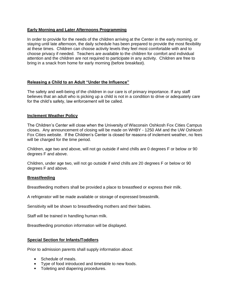## **Early Morning and Later Afternoons Programming**

In order to provide for the needs of the children arriving at the Center in the early morning, or staying until late afternoon, the daily schedule has been prepared to provide the most flexibility at these times. Children can choose activity levels they feel most comfortable with and to choose privacy if needed. Teachers are available to the children for comfort and individual attention and the children are not required to participate in any activity. Children are free to bring in a snack from home for early morning (before breakfast).

## **Releasing a Child to an Adult "Under the Influence"**

The safety and well-being of the children in our care is of primary importance. If any staff believes that an adult who is picking up a child is not in a condition to drive or adequately care for the child's safety, law enforcement will be called.

## **Inclement Weather Policy**

The Children's Center will close when the University of Wisconsin Oshkosh Fox Cities Campus closes. Any announcement of closing will be made on WHBY - 1250 AM and the UW Oshkosh Fox Cities website. If the Children's Center is closed for reasons of inclement weather, no fees will be charged for the time period.

Children, age two and above, will not go outside if wind chills are 0 degrees F or below or 90 degrees F and above.

Children, under age two, will not go outside if wind chills are 20 degrees F or below or 90 degrees F and above.

## **Breastfeeding**

Breastfeeding mothers shall be provided a place to breastfeed or express their milk.

A refrigerator will be made available or storage of expressed breastmilk.

Sensitivity will be shown to breastfeeding mothers and their babies.

Staff will be trained in handling human milk.

Breastfeeding promotion information will be displayed.

## **Special Section for Infants/Toddlers**

Prior to admission parents shall supply information about:

- **Schedule of meals.**
- **Type of food introduced and timetable to new foods.**
- **Toileting and diapering procedures.**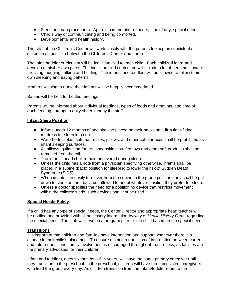- **Sleep and nap procedures. Approximate number of hours, time of day, special needs.**
- **Child's way of communicating and being comforted.**
- **Developmental and health history.**

The staff at the Children's Center will work closely with the parents to keep as consistent a schedule as possible between the Children's Center and home.

The infant/toddler curriculum will be individualized to each child. Each child will learn and develop at his/her own pace. The individualized curriculum will include a lot of personal contact - rocking, hugging, talking and holding. The infants and toddlers will be allowed to follow their own sleeping and eating patterns.

Mothers wishing to nurse their infants will be happily accommodated.

Babies will be held for bottled feedings.

Parents will be informed about individual feedings, types of foods and amounts, and time of each feeding, through a daily sheet kept by the staff.

## **Infant Sleep Position**

- Infants under 12 months of age shall be placed on their backs on a firm tight-fitting mattress for sleep in a crib.
- Waterbeds, sofas, soft mattresses, pillows, and other soft surfaces shall be prohibited as infant sleeping surfaces.
- All pillows, quilts, comforters, sheepskins, stuffed toys and other soft products shall be removed from the crib.
- **The infant's head shall remain uncovered during sleep.**
- Unless the child has a note from a physician specifying otherwise, infants shall be placed in a supine (back) position for sleeping to lower the risk of Sudden Death Syndrome (SIDS)
- When infants can easily turn over from the supine to the prone position, they shall be put down to sleep on their back but allowed to adopt whatever position they prefer for sleep.
- Unless a doctor specifies the need for a positioning device that restricts movement within the children's crib, such devices shall not be used.

#### **Special Needs Policy**

If a child has any type of special needs, the Center Director and appropriate head teacher will be notified and provided with all necessary information by way of *Health History Form*, regarding the special need. The staff will develop a program plan for the child based on the special need.

## **Transitions**

It is important that children and families have information and support whenever there is a change in their child's placement. To ensure a smooth transition of information between current and future transitions, family involvement is encouraged throughout the process, as families are the primary advocates for their children.

Infant and toddlers, ages six months  $-2\frac{1}{2}$  years, will have the same primary caregiver until they transition to the preschool. In the preschool, children will have three consistent caregivers who lead the group every day. As children transition from the Infant/toddler room to the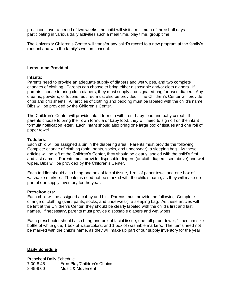preschool, over a period of two weeks, the child will visit a minimum of three half days participating in various daily activities such a meal time, play time, group time.

The University Children's Center will transfer any child's record to a new program at the family's request and with the family's written consent.

#### **Items to be Provided**

#### **Infants:**

Parents need to provide an adequate supply of diapers and wet wipes, and two complete changes of clothing. Parents can choose to bring either disposable and/or cloth diapers. If parents choose to bring cloth diapers, they must supply a designated bag for used diapers. Any creams, powders, or lotions required must also be provided. The Children's Center will provide cribs and crib sheets. All articles of clothing and bedding must be labeled with the child's name. Bibs will be provided by the Children's Center.

The Children's Center will provide infant formula with iron, baby food and baby cereal. If parents choose to bring their own formula or baby food, they will need to sign off on the infant formula notification letter. Each infant should also bring one large box of tissues and one roll of paper towel.

#### **Toddlers**:

Each child will be assigned a bin in the diapering area. Parents must provide the following: Complete change of clothing (shirt, pants, socks, and underwear); a sleeping bag. As these articles will be left at the Children's Center, they should be clearly labeled with the child's first and last names. Parents must provide disposable diapers (or cloth diapers, see above) and wet wipes. Bibs will be provided by the Children's Center.

Each toddler should also bring one box of facial tissue, 1 roll of paper towel and one box of washable markers. The items need not be marked with the child's name, as they will make up part of our supply inventory for the year.

#### **Preschoolers:**

Each child will be assigned a cubby and bin. Parents must provide the following: Complete change of clothing (shirt, pants, socks, and underwear); a sleeping bag. As these articles will be left at the Children's Center, they should be clearly labeled with the child's first and last names. If necessary, parents must provide disposable diapers and wet wipes.

Each preschooler should also bring one box of facial tissue, one roll paper towel, 1 medium size bottle of white glue, 1 box of watercolors, and 1 box of washable markers. The items need not be marked with the child's name, as they will make up part of our supply inventory for the year.

#### **Daily Schedule**

Preschool Daily Schedule 7:00-8:45 Free Play/Children's Choice 8:45-9:00 Music & Movement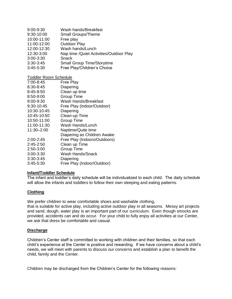| 9:00-9:30     | Wash hands/Breakfast                     |
|---------------|------------------------------------------|
| 9:30-10:00    | Small Groups/Theme                       |
| 10:00-11:00   | Free play                                |
| 11:00-12:00   | <b>Outdoor Play</b>                      |
| 12:00-12:30   | Wash hands/Lunch                         |
| 12:30-3:00    | Nap time / Quiet Activities/Outdoor Play |
| $3:00 - 3:30$ | Snack                                    |
|               |                                          |

- 3:30-3:45 Small Group Time/Storytime
- 3:45-5:30 Free Play/Children's Choice

Toddler Room Schedule

| 7:00-8:45     | Free Play                    |
|---------------|------------------------------|
| 8:30-8:45     | Diapering                    |
| 8:45-8:50     | Clean up time                |
| 8:50-9:00     | Group Time                   |
| 9:00-9:30     | Wash Hands/Breakfast         |
| 9:30-10:45    | Free Play (indoor/Outdoor)   |
| 10:30-10:45   | Diapering                    |
| 10:45-10:50   | Clean-up Time                |
| 10:50-11:00   | Group Time                   |
| 11:00-11:30   | Wash Hands/Lunch             |
| 11:30-2:00    | Naptime/Quite time           |
|               | Diapering as Children Awake  |
| $2:00 - 2:45$ | Free Play (Indoors/Outdoors) |
| $2:45 - 2:50$ | Clean up Time                |
| 2:50-3:00     | Group Time                   |
| 3:00-3:30     | Wash Hands/Snack             |
| $3:30-3:45$   | Diapering                    |
| $3:45 - 5:30$ | Free Play (Indoor/Outdoor)   |

## **Infant/Toddler Schedule**

The infant and toddler's daily schedule will be individualized to each child. The daily schedule will allow the infants and toddlers to follow their own sleeping and eating patterns.

## **Clothing**

We prefer children to wear comfortable shoes and washable clothing, that is suitable for active play, including active outdoor play in all seasons. Messy art projects and sand, dough, water play is an important part of our curriculum. Even though smocks are provided, accidents can and do occur. For your child to fully enjoy all activities at our Center, we ask that dress be comfortable and casual.

#### **Discharge**

Children's Center staff is committed to working with children and their families, so that each child's experience at the Center is positive and rewarding. If we have concerns about a child's needs, we will meet with parents to discuss our concerns and establish a plan to benefit the child, family and the Center.

Children may be discharged from the Children's Center for the following reasons: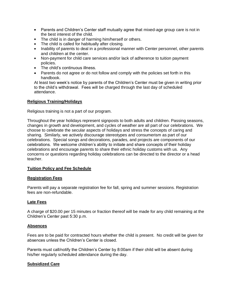- Parents and Children's Center staff mutually agree that mixed-age group care is not in the best interest of the child.
- The child is in danger of harming him/herself or others.
- The child is called for habitually after closing.
- **Inability of parents to deal in a professional manner with Center personnel, other parents** and children at the center.
- Non-payment for child care services and/or lack of adherence to tuition payment policies.
- **The child's continuous illness.**
- Parents do not agree or do not follow and comply with the policies set forth in this handbook.

At least two week's notice by parents of the Children's Center must be given in writing prior to the child's withdrawal. Fees will be charged through the last day of scheduled attendance.

## **Religious Training/Holidays**

Religious training is not a part of our program.

Throughout the year holidays represent signposts to both adults and children. Passing seasons, changes in growth and development, and cycles of weather are all part of our celebrations. We choose to celebrate the secular aspects of holidays and stress the concepts of caring and sharing. Similarly, we actively discourage stereotypes and consumerism as part of our celebrations. Special songs and decorations, parades, and projects are components of our celebrations. We welcome children's ability to initiate and share concepts of their holiday celebrations and encourage parents to share their ethnic holiday customs with us. Any concerns or questions regarding holiday celebrations can be directed to the director or a head teacher.

## **Tuition Policy and Fee Schedule**

## **Registration Fees**

Parents will pay a separate registration fee for fall, spring and summer sessions. Registration fees are non-refundable.

## **Late Fees**

A charge of \$20.00 per 15 minutes or fraction thereof will be made for any child remaining at the Children's Center past 5:30 p.m.

## **Absences**

Fees are to be paid for contracted hours whether the child is present. No credit will be given for absences unless the Children's Center is closed.

Parents must call/notify the Children's Center by 8:00am if their child will be absent during his/her regularly scheduled attendance during the day.

## **Subsidized Care**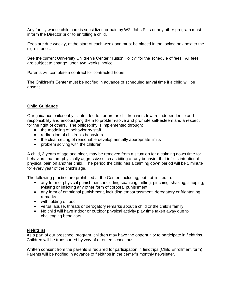Any family whose child care is subsidized or paid by W2, Jobs Plus or any other program must inform the Director prior to enrolling a child.

Fees are due weekly, at the start of each week and must be placed in the locked box next to the sign-in book.

See the current University Children's Center "Tuition Policy" for the schedule of fees. All fees are subject to change, upon two weeks' notice.

Parents will complete a contract for contracted hours.

The Children's Center must be notified in advance of scheduled arrival time if a child will be absent.

#### **Child Guidance**

Our guidance philosophy is intended to nurture as children work toward independence and responsibility and encouraging them to problem-solve and promote self-esteem and a respect for the right of others. The philosophy is implemented through:

- the modeling of behavior by staff
- **Fig. 2** redirection of children's behaviors
- the clear setting of reasonable developmentally appropriate limits
- **problem solving with the children**

A child, 3 years of age and older, may be removed from a situation for a calming down time for behaviors that are physically aggressive such as biting or any behavior that inflicts intentional physical pain on another child. The period the child has a calming down period will be 1 minute for every year of the child's age.

The following practice are prohibited at the Center, including, but not limited to:

- any form of physical punishment, including spanking, hitting, pinching, shaking, slapping, twisting or inflicting any other form of corporal punishment
- any form of emotional punishment, including embarrassment, derogatory or frightening remarks
- **withholding of food**
- verbal abuse, threats or derogatory remarks about a child or the child's family.
- No child will have indoor or outdoor physical activity play time taken away due to challenging behaviors.

#### **Fieldtrips**

As a part of our preschool program, children may have the opportunity to participate in fieldtrips. Children will be transported by way of a rented school bus.

Written consent from the parents is required for participation in fieldtrips (Child Enrollment form). Parents will be notified in advance of fieldtrips in the center's monthly newsletter.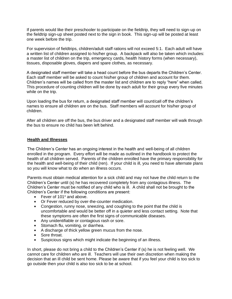If parents would like their preschooler to participate on the fieldtrip, they will need to sign-up on the fieldtrip sign-up sheet posted next to the sign in book. This sign-up will be posted at least one week before the trip.

For supervision of fieldtrips, children/adult staff rations will not exceed 5:1. Each adult will have a written list of children assigned to his/her group. A backpack will also be taken which includes: a master list of children on the trip, emergency cards, health history forms (when necessary), tissues, disposable gloves, diapers and spare clothes, as necessary.

A designated staff member will take a head count before the bus departs the Children's Center. Each staff member will be asked to count his/her group of children and account for them. Children's names will be called from the master list and children are to reply "here" when called. This procedure of counting children will be done by each adult for their group every five minutes while on the trip.

Upon loading the bus for return, a designated staff member will count/call off the children's names to ensure all children are on the bus. Staff members will account for his/her group of children.

After all children are off the bus, the bus driver and a designated staff member will walk through the bus to ensure no child has been left behind.

#### **Health and Illnesses**

The Children's Center has an ongoing interest in the health and well-being of all children enrolled in the program. Every effort will be made as outlined in the handbook to protect the health of all children served. Parents of the children enrolled have the primary responsibility for the health and well-being of their child (ren). If your child is ill, you need to have alternate plans so you will know what to do when an illness occurs.

Parents must obtain medical attention for a sick child and may not have the child return to the Children's Center until (s) he has recovered completely from any contagious illness. The Children's Center must be notified of any child who is ill. A child shall not be brought to the Children's Center if the following conditions are present:

- Fever of  $101^\circ$  and above.
- **Or Fever reduced by over-the-counter medication.**
- Congestion, runny nose, sneezing, and coughing to the point that the child is uncomfortable and would be better off in a quieter and less contact setting. Note that these symptoms are often the first signs of communicable diseases.
- **Any unidentifiable or contagious rash or sore.**
- **Stomach flu, vomiting, or diarrhea.**
- A discharge of thick yellow green mucus from the nose.
- Sore throat.
- **Suspicious signs which might indicate the beginning of an illness.**

In short, please do not bring a child to the Children's Center if (s) he is not feeling well. We cannot care for children who are ill. Teachers will use their own discretion when making the decision that an ill child be sent home. Please be aware that if you feel your child is too sick to go outside then your child is also too sick to be at school.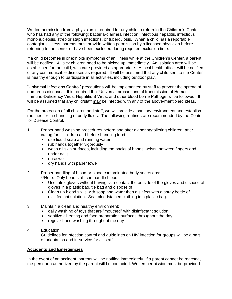Written permission from a physician is required for any child to return to the Children's Center who has had any of the following: bacteria-diarrhea infection, infectious hepatitis, infectious mononucleosis, strep or staph infections, or tuberculosis. When a child has a reportable contagious illness, parents must provide written permission by a licensed physician before returning to the center or have been excluded during required exclusion time.

If a child becomes ill or exhibits symptoms of an illness while at the Children's Center, a parent will be notified. All sick children need to be picked up immediately. An isolation area will be established for the child, with care provided as appropriate. A local health officer will be notified of any communicable diseases as required. It will be assumed that any child sent to the Center is healthy enough to participate in all activities, including outdoor play.

"Universal Infections Control" precautions will be implemented by staff to prevent the spread of numerous diseases. It is required the "Universal precautions of transmission of Human Immuno-Deficiency Virus, Hepatitis B Virus, and other blood borne Pathogens" be followed. It will be assumed that any child/staff may be infected with any of the above-mentioned ideas.

For the protection of all children and staff, we will provide a sanitary environment and establish routines for the handling of body fluids. The following routines are recommended by the Center for Disease Control:

- 1. Proper hand washing procedures before and after diapering/toileting children, after caring for ill children and before handling food:
	- **use liquid soap and running water**
	- $\mathbf{u} = \mathbf{u}$ rub hands together vigorously
	- wash all skin surfaces, including the backs of hands, wrists, between fingers and under nails
	- $\blacksquare$  rinse well
	- **dry hands with paper towel**
- 2. Proper handling of blood or blood contaminated body secretions: \*\*Note: Only head staff can handle blood
	- **Use latex gloves without having skin contact the outside of the gloves and dispose of** gloves in a plastic bag, tie bag and dispose of.
	- Clean up blood spills with soap and water then disinfect with a spray bottle of  $\mathbf{r}$ disinfectant solution. Seal bloodstained clothing in a plastic bag.
- 3. Maintain a clean and healthy environment:
	- daily washing of toys that are "mouthed" with disinfectant solution
	- sanitize all eating and food preparation surfaces throughout the day  $\blacksquare$
	- $\blacksquare$ regular hand washing throughout the day
- 4. Education

Guidelines for infection control and guidelines on HIV infection for groups will be a part of orientation and in-service for all staff.

#### **Accidents and Emergencies**

In the event of an accident, parents will be notified immediately. If a parent cannot be reached, the person(s) authorized by the parent will be contacted. Written permission must be provided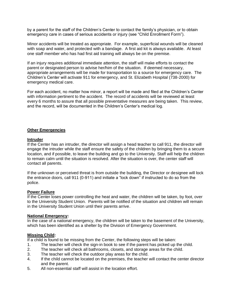by a parent for the staff of the Children's Center to contact the family's physician, or to obtain emergency care in cases of serious accidents or injury (see "Child Enrollment Form").

Minor accidents will be treated as appropriate. For example, superficial wounds will be cleaned with soap and water, and protected with a bandage. A first aid kit is always available. At least one staff member who has had first aid training will always be on the premise.

If an injury requires additional immediate attention, the staff will make efforts to contact the parent or designated person to advise her/him of the situation. If deemed necessary, appropriate arrangements will be made for transportation to a source for emergency care. The Children's Center will activate 911 for emergency, and St. Elizabeth Hospital (738-2000) for emergency medical care.

For each accident, no matter how minor, a report will be made and filed at the Children's Center with information pertinent to the accident. The record of accidents will be reviewed at least every 6 months to assure that all possible preventative measures are being taken. This review, and the record, will be documented in the Children's Center's medical log.

#### **Other Emergencies**

#### **Intruder**

If the Center has an intruder, the director will assign a head teacher to call 911, the director will engage the intruder while the staff ensure the safety of the children by bringing them to a secure location, and if possible, to leave the building and go to the University. Staff will help the children to remain calm until the situation is resolved. After the situation is over, the center staff will contact all parents.

If the unknown or perceived threat is from outside the building, the Director or designee will lock the entrance doors, call 911 (0-911) and initiate a "lock down" if instructed to do so from the police.

#### **Power Failure**

If the Center loses power controlling the heat and water, the children will be taken, by foot, over to the University Student Union. Parents will be notified of the situation and children will remain in the University Student Union until their parents arrive.

#### **National Emergency:**

In the case of a national emergency, the children will be taken to the basement of the University, which has been identified as a shelter by the Division of Emergency Government.

#### **Missing Child:**

If a child is found to be missing from the Center, the following steps will be taken:

- 1. The teacher will check the sign-in book to see if the parent has picked up the child.
- 2. The teacher will check all bathrooms, closets, and storage areas for the child.
- 3. The teacher will check the outdoor play areas for the child.
- 4. If the child cannot be located on the premises, the teacher will contact the center director and the parent.
- 5. All non-essential staff will assist in the location effort.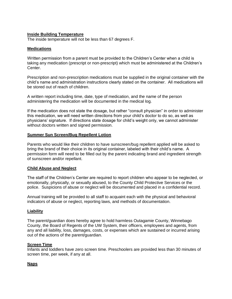### **Inside Building Temperature**

The inside temperature will not be less than 67 degrees F.

### **Medications**

Written permission from a parent must be provided to the Children's Center when a child is taking any medication (prescript or non-prescript) which must be administered at the Children's Center.

Prescription and non-prescription medications must be supplied in the original container with the child's name and administration instructions clearly stated on the container. All medications will be stored out of reach of children.

A written report including time, date, type of medication, and the name of the person administering the medication will be documented in the medical log.

If the medication does not state the dosage, but rather "consult physician" in order to administer this medication, we will need written directions from your child's doctor to do so, as well as physicians' signature. If directions state dosage for child's weight only, we cannot administer without doctors written and signed permission.

#### **Summer Sun Screen/Bug Repellent Lotion**

Parents who would like their children to have sunscreen/bug repellent applied will be asked to bring the brand of their choice in its original container, labeled with their child's name. A permission form will need to be filled out by the parent indicating brand and ingredient strength of sunscreen and/or repellant.

#### **Child Abuse and Neglect**

The staff of the Children's Center are required to report children who appear to be neglected, or emotionally, physically, or sexually abused, to the County Child Protective Services or the police. Suspicions of abuse or neglect will be documented and placed in a confidential record.

Annual training will be provided to all staff to acquaint each with the physical and behavioral indicators of abuse or neglect, reporting laws, and methods of documentation.

#### **Liability**

The parent/guardian does hereby agree to hold harmless Outagamie County, Winnebago County, the Board of Regents of the UW System, their officers, employees and agents, from any and all liability, loss, damages, costs, or expenses which are sustained or incurred arising out of the actions of the parent/guardian.

#### **Screen Time**

Infants and toddlers have zero screen time. Preschoolers are provided less than 30 minutes of screen time, per week, if any at all.

## **Naps**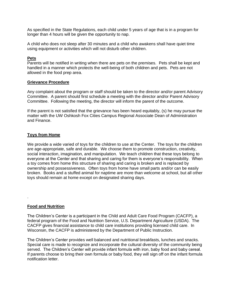As specified in the State Regulations, each child under 5 years of age that is in a program for longer than 4 hours will be given the opportunity to nap.

A child who does not sleep after 30 minutes and a child who awakens shall have quiet time using equipment or activities which will not disturb other children.

#### **Pets**

Parents will be notified in writing when there are pets on the premises. Pets shall be kept and handled in a manner which protects the well-being of both children and pets. Pets are not allowed in the food prep area.

#### **Grievance Procedure**

Any complaint about the program or staff should be taken to the director and/or parent Advisory Committee. A parent should first schedule a meeting with the director and/or Parent Advisory Committee. Following the meeting, the director will inform the parent of the outcome.

If the parent is not satisfied that the grievance has been heard equitably, (s) he may pursue the matter with the UW Oshkosh Fox Cities Campus Regional Associate Dean of Administration and Finance.

## **Toys from Home**

We provide a wide varied of toys for the children to use at the Center. The toys for the children are age-appropriate, safe and durable. We choose them to promote construction, creativity, social interaction, imagination, and manipulation. We teach children that these toys belong to everyone at the Center and that sharing and caring for them is everyone's responsibility. When a toy comes from home this structure of sharing and caring is broken and is replaced by ownership and possessiveness. Often toys from home have small parts and/or can be easily broken. Books and a stuffed animal for naptime are more than welcome at school, but all other toys should remain at home except on designated sharing days.

## **Food and Nutrition**

.

The Children's Center is a participant in the Child and Adult Care Food Program (CACFP), a federal program of the Food and Nutrition Service, U.S. Department Agriculture (USDA). The CACFP gives financial assistance to child care institutions providing licensed child care. In Wisconsin, the CACFP is administered by the Department of Public Instruction.

The Children's Center provides well balanced and nutritional breakfasts, lunches and snacks. Special care is made to recognize and incorporate the cultural diversity of the community being served. The Children's Center will provide infant formula with iron, baby food and baby cereal. If parents choose to bring their own formula or baby food, they will sign off on the infant formula notification letter.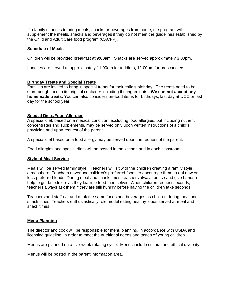If a family chooses to bring meals, snacks or beverages from home, the program will supplement the meals, snacks and beverages if they do not meet the guidelines established by the Child and Adult Care food program (CACFP).

#### **Schedule of Meals**

Children will be provided breakfast at 9:00am. Snacks are served approximately 3:00pm.

Lunches are served at approximately 11:00am for toddlers, 12:00pm for preschoolers.

#### **Birthday Treats and Special Treats**

Families are invited to bring in special treats for their child's birthday. The treats need to be store bought and in its original container including the ingredients. **We can not accept any homemade treats.** You can also consider non-food items for birthdays, last day at UCC or last day for the school year.

#### **Special Diets/Food Allergies**

A special diet, based on a medical condition, excluding food allergies, but including nutrient concentrates and supplements, may be served only upon written instructions of a child's physician and upon request of the parent.

A special diet based on a food allergy may be served upon the request of the parent.

Food allergies and special diets will be posted in the kitchen and in each classroom.

#### **Style of Meal Service**

Meals will be served family style. Teachers will sit with the children creating a family style atmosphere. Teachers never use children's preferred foods to encourage them to eat new or less-preferred foods. During meal and snack times, teachers always praise and give hands-on help to guide toddlers as they learn to feed themselves. When children request seconds, teachers always ask them if they are still hungry before having the children take seconds.

Teachers and staff eat and drink the same foods and beverages as children during meal and snack times. Teachers enthusiastically role model eating healthy foods served at meal and snack times.

#### **Menu Planning**

The director and cook will be responsible for menu planning, in accordance with USDA and licensing guideline, in order to meet the nutritional needs and tastes of young children.

Menus are planned on a five-week rotating cycle. Menus include cultural and ethical diversity.

Menus will be posted in the parent information area.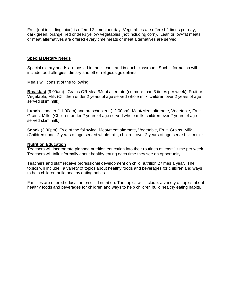Fruit (not including juice) is offered 2 times per day. Vegetables are offered 2 times per day, dark green, orange, red or deep yellow vegetables (not including corn). Lean or low-fat meats or meat alternatives are offered every time meats or meat alternatives are served.

#### **Special Dietary Needs**

Special dietary needs are posted in the kitchen and in each classroom. Such information will include food allergies, dietary and other religious guidelines.

Meals will consist of the following:

**Breakfast** (9:00am): Grains OR Meat/Meat alternate (no more than 3 times per week), Fruit or Vegetable, Milk (Children under 2 years of age served whole milk, children over 2 years of age served skim milk)

**Lunch** - toddler (11:00am) and preschoolers (12:00pm): Meat/Meat alternate, Vegetable, Fruit, Grains, Milk. (Children under 2 years of age served whole milk, children over 2 years of age served skim milk)

**Snack** (3:00pm): Two of the following: Meat/meat alternate, Vegetable, Fruit, Grains, Milk (Children under 2 years of age served whole milk, children over 2 years of age served skim milk

#### **Nutrition Education**

Teachers will incorporate planned nutrition education into their routines at least 1 time per week. Teachers will talk informally about healthy eating each time they see an opportunity.

Teachers and staff receive professional development on child nutrition 2 times a year. The topics will include: a variety of topics about healthy foods and beverages for children and ways to help children build healthy eating habits.

Families are offered education on child nutrition. The topics will include: a variety of topics about healthy foods and beverages for children and ways to help children build healthy eating habits.